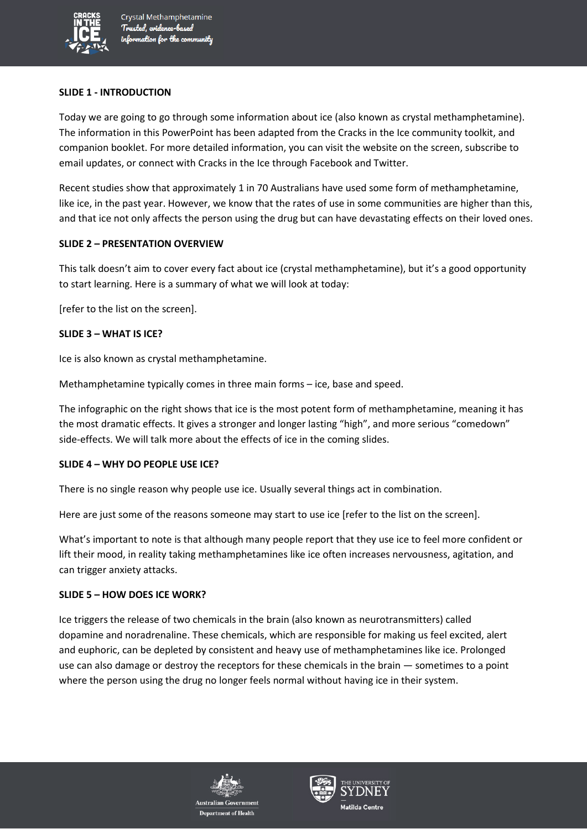

#### **SLIDE 1 - INTRODUCTION**

Today we are going to go through some information about ice (also known as crystal methamphetamine). The information in this PowerPoint has been adapted from the Cracks in the Ice community toolkit, and companion booklet. For more detailed information, you can visit the website on the screen, subscribe to email updates, or connect with Cracks in the Ice through Facebook and Twitter.

Recent studies show that approximately 1 in 70 Australians have used some form of methamphetamine, like ice, in the past year. However, we know that the rates of use in some communities are higher than this, and that ice not only affects the person using the drug but can have devastating effects on their loved ones.

### **SLIDE 2 – PRESENTATION OVERVIEW**

This talk doesn't aim to cover every fact about ice (crystal methamphetamine), but it's a good opportunity to start learning. Here is a summary of what we will look at today:

[refer to the list on the screen].

#### **SLIDE 3 – WHAT IS ICE?**

Ice is also known as crystal methamphetamine.

Methamphetamine typically comes in three main forms – ice, base and speed.

The infographic on the right shows that ice is the most potent form of methamphetamine, meaning it has the most dramatic effects. It gives a stronger and longer lasting "high", and more serious "comedown" side-effects. We will talk more about the effects of ice in the coming slides.

#### **SLIDE 4 – WHY DO PEOPLE USE ICE?**

There is no single reason why people use ice. Usually several things act in combination.

Here are just some of the reasons someone may start to use ice [refer to the list on the screen].

What's important to note is that although many people report that they use ice to feel more confident or lift their mood, in reality taking methamphetamines like ice often increases nervousness, agitation, and can trigger anxiety attacks.

#### **SLIDE 5 – HOW DOES ICE WORK?**

Ice triggers the release of two chemicals in the brain (also known as neurotransmitters) called dopamine and noradrenaline. These chemicals, which are responsible for making us feel excited, alert and euphoric, can be depleted by consistent and heavy use of methamphetamines like ice. Prolonged use can also damage or destroy the receptors for these chemicals in the brain — sometimes to a point where the person using the drug no longer feels normal without having ice in their system.



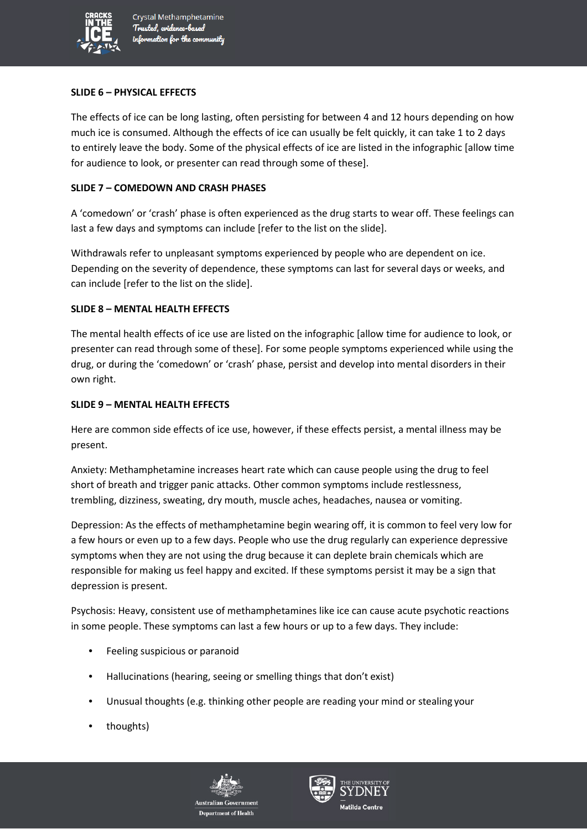

### **SLIDE 6 – PHYSICAL EFFECTS**

The effects of ice can be long lasting, often persisting for between 4 and 12 hours depending on how much ice is consumed. Although the effects of ice can usually be felt quickly, it can take 1 to 2 days to entirely leave the body. Some of the physical effects of ice are listed in the infographic [allow time for audience to look, or presenter can read through some of these].

## **SLIDE 7 – COMEDOWN AND CRASH PHASES**

A 'comedown' or 'crash' phase is often experienced as the drug starts to wear off. These feelings can last a few days and symptoms can include [refer to the list on the slide].

Withdrawals refer to unpleasant symptoms experienced by people who are dependent on ice. Depending on the severity of dependence, these symptoms can last for several days or weeks, and can include [refer to the list on the slide].

## **SLIDE 8 – MENTAL HEALTH EFFECTS**

The mental health effects of ice use are listed on the infographic [allow time for audience to look, or presenter can read through some of these]. For some people symptoms experienced while using the drug, or during the 'comedown' or 'crash' phase, persist and develop into mental disorders in their own right.

### **SLIDE 9 – MENTAL HEALTH EFFECTS**

Here are common side effects of ice use, however, if these effects persist, a mental illness may be present.

Anxiety: Methamphetamine increases heart rate which can cause people using the drug to feel short of breath and trigger panic attacks. Other common symptoms include restlessness, trembling, dizziness, sweating, dry mouth, muscle aches, headaches, nausea or vomiting.

Depression: As the effects of methamphetamine begin wearing off, it is common to feel very low for a few hours or even up to a few days. People who use the drug regularly can experience depressive symptoms when they are not using the drug because it can deplete brain chemicals which are responsible for making us feel happy and excited. If these symptoms persist it may be a sign that depression is present.

Psychosis: Heavy, consistent use of methamphetamines like ice can cause acute psychotic reactions in some people. These symptoms can last a few hours or up to a few days. They include:

- Feeling suspicious or paranoid
- Hallucinations (hearing, seeing or smelling things that don't exist)
- Unusual thoughts (e.g. thinking other people are reading your mind or stealing your
- thoughts)



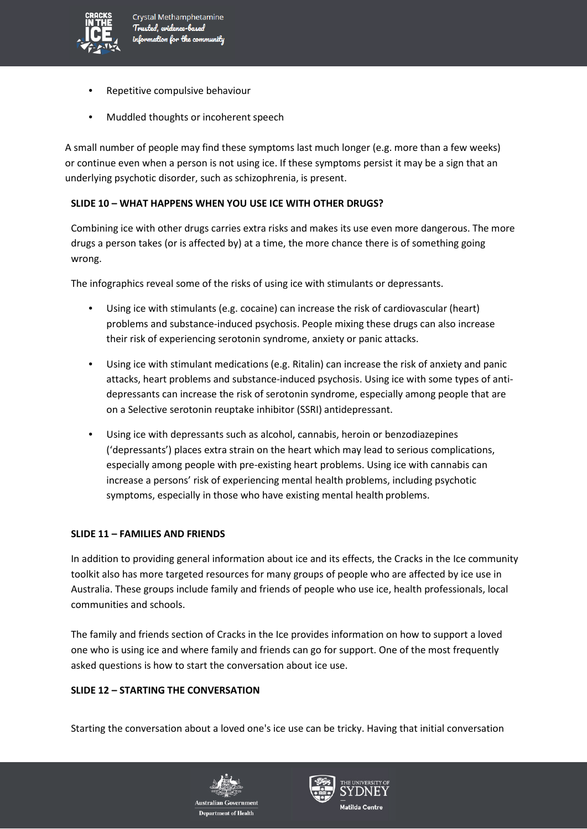

- Repetitive compulsive behaviour
- Muddled thoughts or incoherent speech

A small number of people may find these symptoms last much longer (e.g. more than a few weeks) or continue even when a person is not using ice. If these symptoms persist it may be a sign that an underlying psychotic disorder, such as schizophrenia, is present.

# **SLIDE 10 – WHAT HAPPENS WHEN YOU USE ICE WITH OTHER DRUGS?**

Combining ice with other drugs carries extra risks and makes its use even more dangerous. The more drugs a person takes (or is affected by) at a time, the more chance there is of something going wrong.

The infographics reveal some of the risks of using ice with stimulants or depressants.

- Using ice with stimulants (e.g. cocaine) can increase the risk of cardiovascular (heart) problems and substance-induced psychosis. People mixing these drugs can also increase their risk of experiencing serotonin syndrome, anxiety or panic attacks.
- Using ice with stimulant medications (e.g. Ritalin) can increase the risk of anxiety and panic attacks, heart problems and substance-induced psychosis. Using ice with some types of antidepressants can increase the risk of serotonin syndrome, especially among people that are on a Selective serotonin reuptake inhibitor (SSRI) antidepressant.
- Using ice with depressants such as alcohol, cannabis, heroin or benzodiazepines ('depressants') places extra strain on the heart which may lead to serious complications, especially among people with pre-existing heart problems. Using ice with cannabis can increase a persons' risk of experiencing mental health problems, including psychotic symptoms, especially in those who have existing mental health problems.

## **SLIDE 11 – FAMILIES AND FRIENDS**

In addition to providing general information about ice and its effects, the Cracks in the Ice community toolkit also has more targeted resources for many groups of people who are affected by ice use in Australia. These groups include family and friends of people who use ice, health professionals, local communities and schools.

The family and friends section of Cracks in the Ice provides information on how to support a loved one who is using ice and where family and friends can go for support. One of the most frequently asked questions is how to start the conversation about ice use.

## **SLIDE 12 – STARTING THE CONVERSATION**

Starting the conversation about a loved one's ice use can be tricky. Having that initial conversation



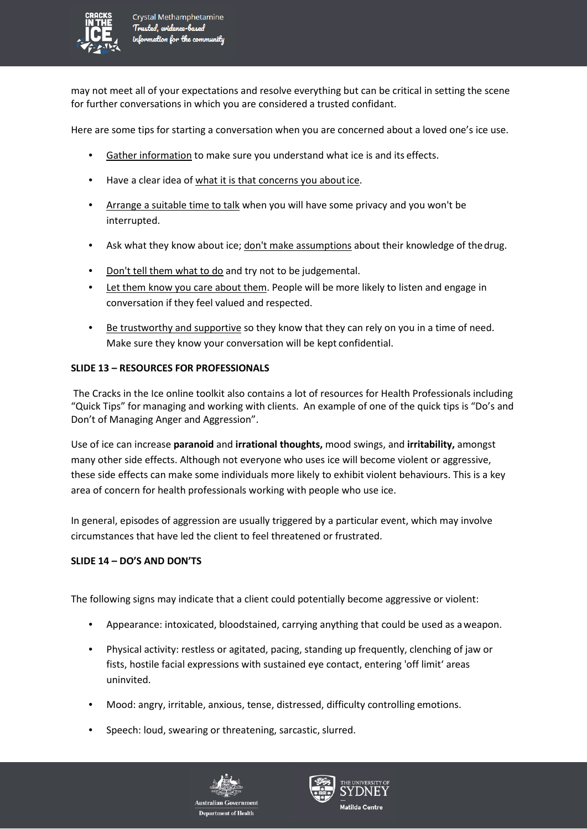

may not meet all of your expectations and resolve everything but can be critical in setting the scene for further conversations in which you are considered a trusted confidant.

Here are some tips for starting a conversation when you are concerned about a loved one's ice use.

- Gather information to make sure you understand what ice is and its effects.
- Have a clear idea of what it is that concerns you about ice.
- Arrange a suitable time to talk when you will have some privacy and you won't be interrupted.
- Ask what they know about ice; don't make assumptions about their knowledge of thedrug.
- Don't tell them what to do and try not to be judgemental.
- Let them know you care about them. People will be more likely to listen and engage in conversation if they feel valued and respected.
- Be trustworthy and supportive so they know that they can rely on you in a time of need. Make sure they know your conversation will be kept confidential.

### **SLIDE 13 – RESOURCES FOR PROFESSIONALS**

The Cracks in the Ice online toolkit also contains a lot of resources for Health Professionals including "Quick Tips" for managing and working with clients. An example of one of the quick tips is "Do's and Don't of Managing Anger and Aggression".

Use of ice can increase **paranoid** and **irrational thoughts,** mood swings, and **irritability,** amongst many other side effects. Although not everyone who uses ice will become violent or aggressive, these side effects can make some individuals more likely to exhibit violent behaviours. This is a key area of concern for health professionals working with people who use ice.

In general, episodes of aggression are usually triggered by a particular event, which may involve circumstances that have led the client to feel threatened or frustrated.

## **SLIDE 14 – DO'S AND DON'TS**

The following signs may indicate that a client could potentially become aggressive or violent:

- Appearance: intoxicated, bloodstained, carrying anything that could be used as aweapon.
- Physical activity: restless or agitated, pacing, standing up frequently, clenching of jaw or fists, hostile facial expressions with sustained eye contact, entering 'off limit' areas uninvited.
- Mood: angry, irritable, anxious, tense, distressed, difficulty controlling emotions.
- Speech: loud, swearing or threatening, sarcastic, slurred.



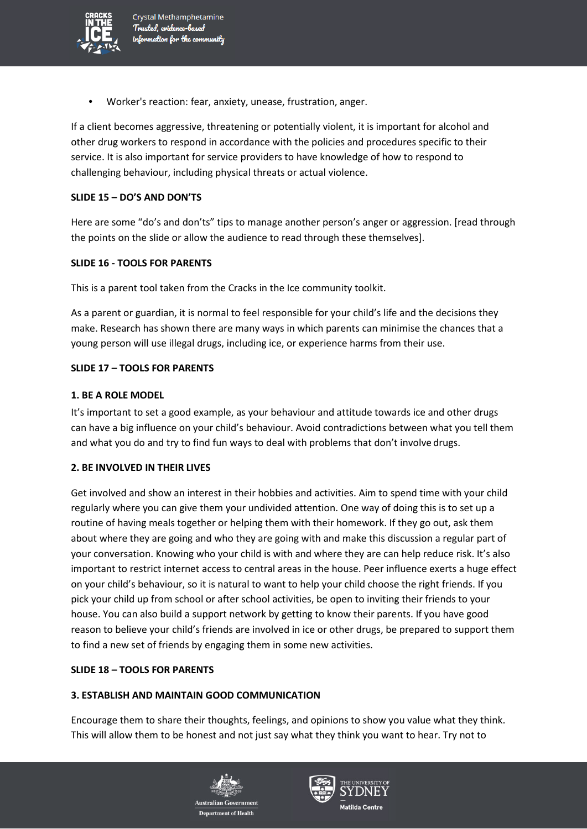

Crystal Methamphetamine Trusted, evidence-based information for the community

• Worker's reaction: fear, anxiety, unease, frustration, anger.

If a client becomes aggressive, threatening or potentially violent, it is important for alcohol and other drug workers to respond in accordance with the policies and procedures specific to their service. It is also important for service providers to have knowledge of how to respond to challenging behaviour, including physical threats or actual violence.

### **SLIDE 15 – DO'S AND DON'TS**

Here are some "do's and don'ts" tips to manage another person's anger or aggression. [read through the points on the slide or allow the audience to read through these themselves].

### **SLIDE 16 - TOOLS FOR PARENTS**

This is a parent tool taken from the Cracks in the Ice community toolkit.

As a parent or guardian, it is normal to feel responsible for your child's life and the decisions they make. Research has shown there are many ways in which parents can minimise the chances that a young person will use illegal drugs, including ice, or experience harms from their use.

### **SLIDE 17 – TOOLS FOR PARENTS**

#### **1. BE A ROLE MODEL**

It's important to set a good example, as your behaviour and attitude towards ice and other drugs can have a big influence on your child's behaviour. Avoid contradictions between what you tell them and what you do and try to find fun ways to deal with problems that don't involve drugs.

### **2. BE INVOLVED IN THEIR LIVES**

Get involved and show an interest in their hobbies and activities. Aim to spend time with your child regularly where you can give them your undivided attention. One way of doing this is to set up a routine of having meals together or helping them with their homework. If they go out, ask them about where they are going and who they are going with and make this discussion a regular part of your conversation. Knowing who your child is with and where they are can help reduce risk. It's also important to restrict internet access to central areas in the house. Peer influence exerts a huge effect on your child's behaviour, so it is natural to want to help your child choose the right friends. If you pick your child up from school or after school activities, be open to inviting their friends to your house. You can also build a support network by getting to know their parents. If you have good reason to believe your child's friends are involved in ice or other drugs, be prepared to support them to find a new set of friends by engaging them in some new activities.

## **SLIDE 18 – TOOLS FOR PARENTS**

#### **3. ESTABLISH AND MAINTAIN GOOD COMMUNICATION**

Encourage them to share their thoughts, feelings, and opinions to show you value what they think. This will allow them to be honest and not just say what they think you want to hear. Try not to



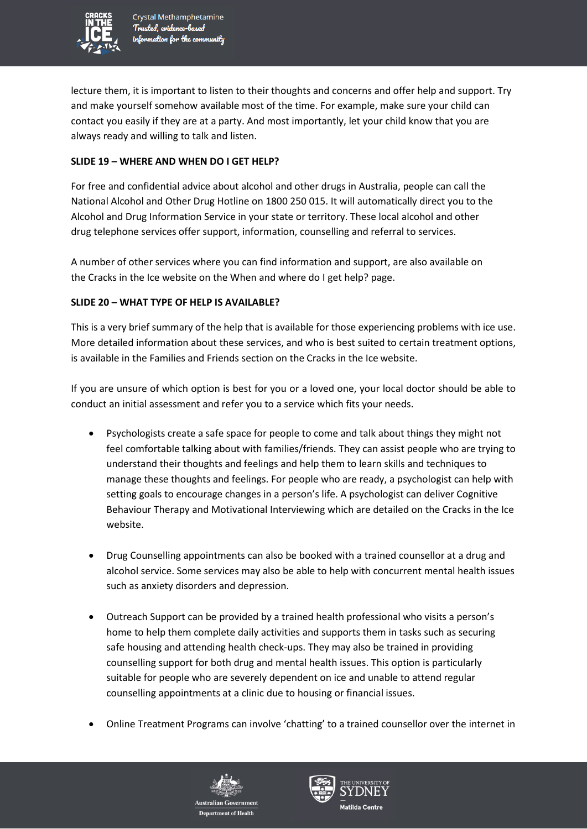

lecture them, it is important to listen to their thoughts and concerns and offer help and support. Try and make yourself somehow available most of the time. For example, make sure your child can contact you easily if they are at a party. And most importantly, let your child know that you are always ready and willing to talk and listen.

### **SLIDE 19 – WHERE AND WHEN DO I GET HELP?**

For free and confidential advice about alcohol and other drugs in Australia, people can call the National Alcohol and Other Drug Hotline on 1800 250 015. It will automatically direct you to the Alcohol and Drug Information Service in your state or territory. These local alcohol and other drug telephone services offer support, information, counselling and referral to services.

A number of other services where you can find information and support, are also available on the Cracks in the Ice website on the When and where do I get help? page.

### **SLIDE 20 – WHAT TYPE OF HELP IS AVAILABLE?**

This is a very brief summary of the help that is available for those experiencing problems with ice use. More detailed information about these services, and who is best suited to certain treatment options, is available in the Families and Friends section on the Cracks in the Ice website.

If you are unsure of which option is best for you or a loved one, your local doctor should be able to conduct an initial assessment and refer you to a service which fits your needs.

- Psychologists create a safe space for people to come and talk about things they might not feel comfortable talking about with families/friends. They can assist people who are trying to understand their thoughts and feelings and help them to learn skills and techniques to manage these thoughts and feelings. For people who are ready, a psychologist can help with setting goals to encourage changes in a person's life. A psychologist can deliver Cognitive Behaviour Therapy and Motivational Interviewing which are detailed on the Cracks in the Ice website.
- Drug Counselling appointments can also be booked with a trained counsellor at a drug and alcohol service. Some services may also be able to help with concurrent mental health issues such as anxiety disorders and depression.
- Outreach Support can be provided by a trained health professional who visits a person's home to help them complete daily activities and supports them in tasks such as securing safe housing and attending health check-ups. They may also be trained in providing counselling support for both drug and mental health issues. This option is particularly suitable for people who are severely dependent on ice and unable to attend regular counselling appointments at a clinic due to housing or financial issues.
- Online Treatment Programs can involve 'chatting' to a trained counsellor over the internet in